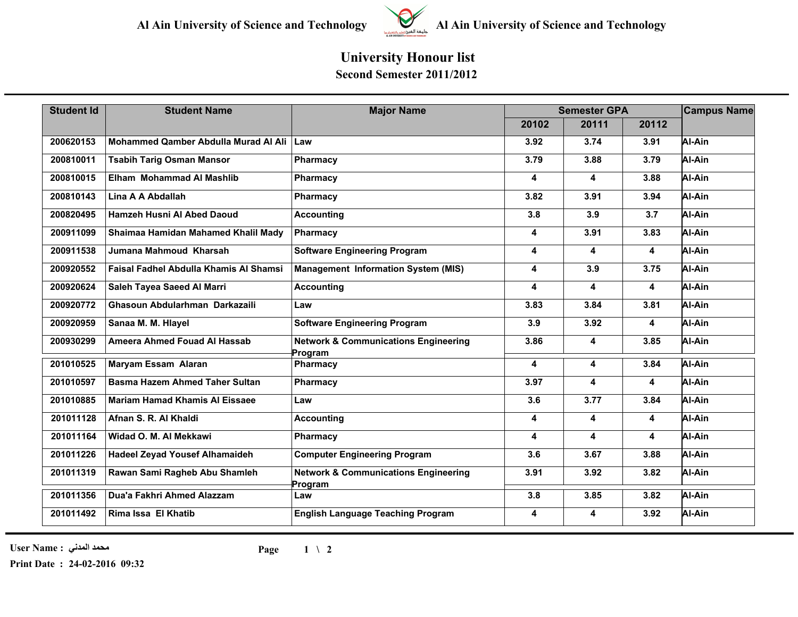

## **University Honour list**

**Second Semester 2011/2012**

| <b>Student Id</b> | <b>Student Name</b>                    | <b>Major Name</b>                                          | <b>Semester GPA</b> | <b>Campus Name</b>      |                         |        |
|-------------------|----------------------------------------|------------------------------------------------------------|---------------------|-------------------------|-------------------------|--------|
|                   |                                        |                                                            | 20102               | 20111                   | 20112                   |        |
| 200620153         | Mohammed Qamber Abdulla Murad Al Ali   | Law                                                        | 3.92                | 3.74                    | 3.91                    | Al-Ain |
| 200810011         | <b>Tsabih Tarig Osman Mansor</b>       | Pharmacy                                                   | 3.79                | 3.88                    | 3.79                    | Al-Ain |
| 200810015         | Elham Mohammad Al Mashlib              | Pharmacy                                                   | 4                   | 4                       | 3.88                    | Al-Ain |
| 200810143         | Lina A A Abdallah                      | Pharmacy                                                   | 3.82                | 3.91                    | 3.94                    | Al-Ain |
| 200820495         | Hamzeh Husni Al Abed Daoud             | <b>Accounting</b>                                          | 3.8                 | 3.9                     | 3.7                     | Al-Ain |
| 200911099         | Shaimaa Hamidan Mahamed Khalil Mady    | Pharmacy                                                   | 4                   | 3.91                    | 3.83                    | Al-Ain |
| 200911538         | Jumana Mahmoud Kharsah                 | <b>Software Engineering Program</b>                        | 4                   | 4                       | 4                       | Al-Ain |
| 200920552         | Faisal Fadhel Abdulla Khamis Al Shamsi | <b>Management Information System (MIS)</b>                 | 4                   | 3.9                     | 3.75                    | Al-Ain |
| 200920624         | Saleh Tayea Saeed Al Marri             | <b>Accounting</b>                                          | 4                   | 4                       | 4                       | Al-Ain |
| 200920772         | Ghasoun Abdularhman Darkazaili         | Law                                                        | 3.83                | 3.84                    | 3.81                    | Al-Ain |
| 200920959         | Sanaa M. M. Hlayel                     | <b>Software Engineering Program</b>                        | 3.9                 | 3.92                    | 4                       | Al-Ain |
| 200930299         | Ameera Ahmed Fouad Al Hassab           | <b>Network &amp; Communications Engineering</b><br>Program | 3.86                | 4                       | 3.85                    | Al-Ain |
| 201010525         | <b>Maryam Essam Alaran</b>             | Pharmacy                                                   | 4                   | 4                       | 3.84                    | Al-Ain |
| 201010597         | <b>Basma Hazem Ahmed Taher Sultan</b>  | Pharmacy                                                   | 3.97                | 4                       | $\overline{\mathbf{4}}$ | Al-Ain |
| 201010885         | <b>Mariam Hamad Khamis Al Eissaee</b>  | Law                                                        | 3.6                 | 3.77                    | 3.84                    | Al-Ain |
| 201011128         | Afnan S. R. Al Khaldi                  | <b>Accounting</b>                                          | 4                   | $\overline{\mathbf{4}}$ | 4                       | Al-Ain |
| 201011164         | Widad O. M. Al Mekkawi                 | Pharmacy                                                   | 4                   | 4                       | 4                       | Al-Ain |
| 201011226         | <b>Hadeel Zeyad Yousef Alhamaideh</b>  | <b>Computer Engineering Program</b>                        | 3.6                 | 3.67                    | 3.88                    | Al-Ain |
| 201011319         | Rawan Sami Ragheb Abu Shamleh          | <b>Network &amp; Communications Engineering</b><br>Program | 3.91                | 3.92                    | 3.82                    | Al-Ain |
| 201011356         | Dua'a Fakhri Ahmed Alazzam             | Law                                                        | 3.8                 | 3.85                    | 3.82                    | Al-Ain |
| 201011492         | Rima Issa El Khatib                    | <b>English Language Teaching Program</b>                   | 4                   | 4                       | 3.92                    | Al-Ain |